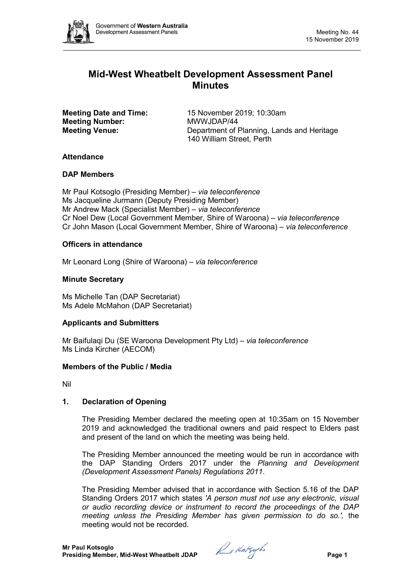

# **Mid-West Wheatbelt Development Assessment Panel Minutes**

**Meeting Number:** 

**Meeting Date and Time:** 15 November 2019; 10:30am<br> **Meeting Number:** MWWJDAP/44 **Meeting Venue:** Department of Planning, Lands and Heritage 140 William Street, Perth

# **Attendance**

# **DAP Members**

Mr Paul Kotsoglo (Presiding Member) *– via teleconference* Ms Jacqueline Jurmann (Deputy Presiding Member) Mr Andrew Mack (Specialist Member) *– via teleconference* Cr Noel Dew (Local Government Member, Shire of Waroona) *– via teleconference* Cr John Mason (Local Government Member, Shire of Waroona) *– via teleconference*

# **Officers in attendance**

Mr Leonard Long (Shire of Waroona) *– via teleconference*

# **Minute Secretary**

Ms Michelle Tan (DAP Secretariat) Ms Adele McMahon (DAP Secretariat)

# **Applicants and Submitters**

Mr Baifulaqi Du (SE Waroona Development Pty Ltd) *– via teleconference* Ms Linda Kircher (AECOM)

# **Members of the Public / Media**

Nil

# **1. Declaration of Opening**

The Presiding Member declared the meeting open at 10:35am on 15 November 2019 and acknowledged the traditional owners and paid respect to Elders past and present of the land on which the meeting was being held.

The Presiding Member announced the meeting would be run in accordance with the DAP Standing Orders 2017 under the *Planning and Development (Development Assessment Panels) Regulations 2011*.

The Presiding Member advised that in accordance with Section 5.16 of the DAP Standing Orders 2017 which states *'A person must not use any electronic, visual or audio recording device or instrument to record the proceedings of the DAP meeting unless the Presiding Member has given permission to do so.',* the meeting would not be recorded.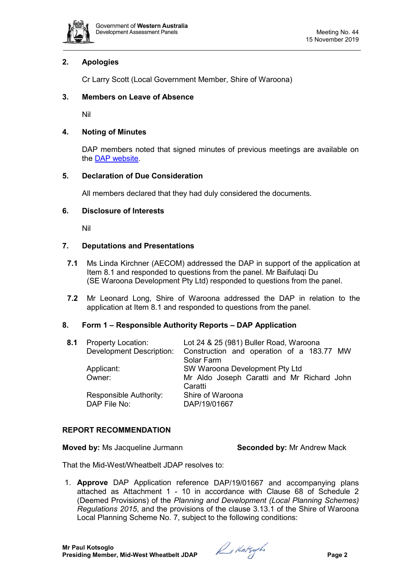

# **2. Apologies**

Cr Larry Scott (Local Government Member, Shire of Waroona)

# **3. Members on Leave of Absence**

Nil

# **4. Noting of Minutes**

DAP members noted that signed minutes of previous meetings are available on the [DAP website.](https://www.dplh.wa.gov.au/about/development-assessment-panels/daps-agendas-and-minutes)

# **5. Declaration of Due Consideration**

All members declared that they had duly considered the documents.

# **6. Disclosure of Interests**

Nil

# **7. Deputations and Presentations**

- **7.1** Ms Linda Kirchner (AECOM) addressed the DAP in support of the application at Item 8.1 and responded to questions from the panel. Mr Baifulaqi Du (SE Waroona Development Pty Ltd) responded to questions from the panel.
- **7.2** Mr Leonard Long, Shire of Waroona addressed the DAP in relation to the application at Item 8.1 and responded to questions from the panel.

# **8. Form 1 – Responsible Authority Reports – DAP Application**

| <b>Property Location:</b><br><b>Development Description:</b> | Lot 24 & 25 (981) Buller Road, Waroona<br>Construction and operation of a 183.77 MW<br>Solar Farm |
|--------------------------------------------------------------|---------------------------------------------------------------------------------------------------|
| Applicant:                                                   | SW Waroona Development Pty Ltd                                                                    |
| Owner:                                                       | Mr Aldo Joseph Caratti and Mr Richard John<br>Caratti                                             |
| Responsible Authority:<br>DAP File No:                       | Shire of Waroona<br>DAP/19/01667                                                                  |
|                                                              |                                                                                                   |

# **REPORT RECOMMENDATION**

**Moved by:** Ms Jacqueline Jurmann **Seconded by:** Mr Andrew Mack

That the Mid-West/Wheatbelt JDAP resolves to:

1. **Approve** DAP Application reference DAP/19/01667 and accompanying plans attached as Attachment 1 - 10 in accordance with Clause 68 of Schedule 2 (Deemed Provisions) of the *Planning and Development (Local Planning Schemes) Regulations 2015*, and the provisions of the clause 3.13.1 of the Shire of Waroona Local Planning Scheme No. 7, subject to the following conditions: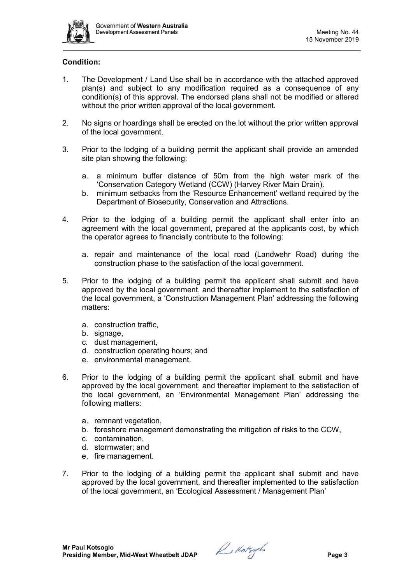

# **Condition:**

- 1. The Development / Land Use shall be in accordance with the attached approved plan(s) and subject to any modification required as a consequence of any condition(s) of this approval. The endorsed plans shall not be modified or altered without the prior written approval of the local government.
- 2. No signs or hoardings shall be erected on the lot without the prior written approval of the local government.
- 3. Prior to the lodging of a building permit the applicant shall provide an amended site plan showing the following:
	- a. a minimum buffer distance of 50m from the high water mark of the 'Conservation Category Wetland (CCW) (Harvey River Main Drain).
	- b. minimum setbacks from the 'Resource Enhancement' wetland required by the Department of Biosecurity, Conservation and Attractions.
- 4. Prior to the lodging of a building permit the applicant shall enter into an agreement with the local government, prepared at the applicants cost, by which the operator agrees to financially contribute to the following:
	- a. repair and maintenance of the local road (Landwehr Road) during the construction phase to the satisfaction of the local government.
- 5. Prior to the lodging of a building permit the applicant shall submit and have approved by the local government, and thereafter implement to the satisfaction of the local government, a 'Construction Management Plan' addressing the following matters:
	- a. construction traffic,
	- b. signage.
	- c. dust management,
	- d. construction operating hours; and
	- e. environmental management.
- 6. Prior to the lodging of a building permit the applicant shall submit and have approved by the local government, and thereafter implement to the satisfaction of the local government, an 'Environmental Management Plan' addressing the following matters:
	- a. remnant vegetation,
	- b. foreshore management demonstrating the mitigation of risks to the CCW,
	- c. contamination,
	- d. stormwater; and
	- e. fire management.
- 7. Prior to the lodging of a building permit the applicant shall submit and have approved by the local government, and thereafter implemented to the satisfaction of the local government, an 'Ecological Assessment / Management Plan'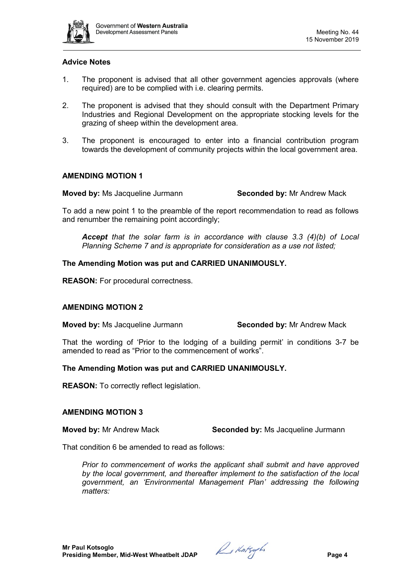

### **Advice Notes**

- 1. The proponent is advised that all other government agencies approvals (where required) are to be complied with i.e. clearing permits.
- 2. The proponent is advised that they should consult with the Department Primary Industries and Regional Development on the appropriate stocking levels for the grazing of sheep within the development area.
- 3. The proponent is encouraged to enter into a financial contribution program towards the development of community projects within the local government area.

### **AMENDING MOTION 1**

**Moved by:** Ms Jacqueline Jurmann **Seconded by:** Mr Andrew Mack

To add a new point 1 to the preamble of the report recommendation to read as follows and renumber the remaining point accordingly;

*Accept that the solar farm is in accordance with clause 3.3 (4)(b) of Local Planning Scheme 7 and is appropriate for consideration as a use not listed;*

### **The Amending Motion was put and CARRIED UNANIMOUSLY.**

**REASON:** For procedural correctness.

#### **AMENDING MOTION 2**

**Moved by:** Ms Jacqueline Jurmann **Seconded by:** Mr Andrew Mack

That the wording of 'Prior to the lodging of a building permit' in conditions 3-7 be amended to read as "Prior to the commencement of works".

#### **The Amending Motion was put and CARRIED UNANIMOUSLY.**

**REASON:** To correctly reflect legislation.

#### **AMENDING MOTION 3**

**Moved by:** Mr Andrew Mack **Seconded by:** Ms Jacqueline Jurmann

That condition 6 be amended to read as follows:

*Prior to commencement of works the applicant shall submit and have approved by the local government, and thereafter implement to the satisfaction of the local government, an 'Environmental Management Plan' addressing the following matters:*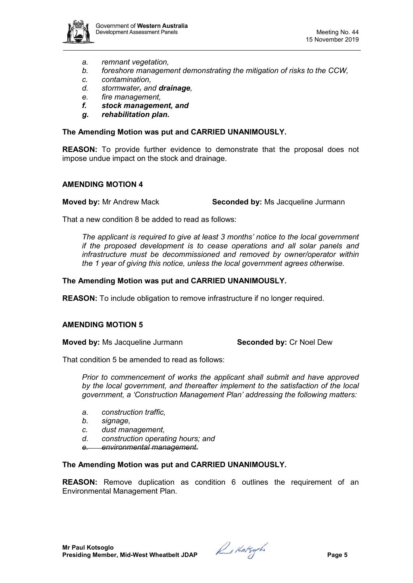

- *a. remnant vegetation,*
- *b. foreshore management demonstrating the mitigation of risks to the CCW,*
- *c. contamination,*
- *d. stormwater, and drainage,*
- *e. fire management,*
- *f. stock management, and*
- *g. rehabilitation plan.*

#### **The Amending Motion was put and CARRIED UNANIMOUSLY.**

**REASON:** To provide further evidence to demonstrate that the proposal does not impose undue impact on the stock and drainage.

### **AMENDING MOTION 4**

**Moved by:** Mr Andrew Mack **Seconded by:** Ms Jacqueline Jurmann

That a new condition 8 be added to read as follows:

*The applicant is required to give at least 3 months' notice to the local government if the proposed development is to cease operations and all solar panels and infrastructure must be decommissioned and removed by owner/operator within the 1 year of giving this notice, unless the local government agrees otherwise.*

### **The Amending Motion was put and CARRIED UNANIMOUSLY.**

**REASON:** To include obligation to remove infrastructure if no longer required.

# **AMENDING MOTION 5**

**Moved by:** Ms Jacqueline Jurmann **Seconded by:** Cr Noel Dew

That condition 5 be amended to read as follows:

*Prior to commencement of works the applicant shall submit and have approved by the local government, and thereafter implement to the satisfaction of the local government, a 'Construction Management Plan' addressing the following matters:*

- *a. construction traffic,*
- *b. signage,*
- *c. dust management,*
- *d. construction operating hours; and*
- *e. environmental management.*

# **The Amending Motion was put and CARRIED UNANIMOUSLY.**

**REASON:** Remove duplication as condition 6 outlines the requirement of an Environmental Management Plan.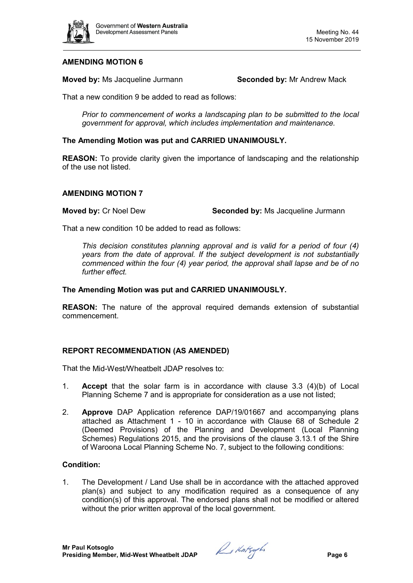

# **AMENDING MOTION 6**

**Moved by:** Ms Jacqueline Jurmann **Seconded by:** Mr Andrew Mack

That a new condition 9 be added to read as follows:

*Prior to commencement of works a landscaping plan to be submitted to the local government for approval, which includes implementation and maintenance.*

### **The Amending Motion was put and CARRIED UNANIMOUSLY.**

**REASON:** To provide clarity given the importance of landscaping and the relationship of the use not listed.

#### **AMENDING MOTION 7**

**Moved by:** Cr Noel Dew **Seconded by:** Ms Jacqueline Jurmann

That a new condition 10 be added to read as follows:

*This decision constitutes planning approval and is valid for a period of four (4) years from the date of approval. If the subject development is not substantially commenced within the four (4) year period, the approval shall lapse and be of no further effect.*

#### **The Amending Motion was put and CARRIED UNANIMOUSLY.**

**REASON:** The nature of the approval required demands extension of substantial commencement.

# **REPORT RECOMMENDATION (AS AMENDED)**

That the Mid-West/Wheatbelt JDAP resolves to:

- 1. **Accept** that the solar farm is in accordance with clause 3.3 (4)(b) of Local Planning Scheme 7 and is appropriate for consideration as a use not listed;
- 2. **Approve** DAP Application reference DAP/19/01667 and accompanying plans attached as Attachment 1 - 10 in accordance with Clause 68 of Schedule 2 (Deemed Provisions) of the Planning and Development (Local Planning Schemes) Regulations 2015, and the provisions of the clause 3.13.1 of the Shire of Waroona Local Planning Scheme No. 7, subject to the following conditions:

#### **Condition:**

1. The Development / Land Use shall be in accordance with the attached approved plan(s) and subject to any modification required as a consequence of any condition(s) of this approval. The endorsed plans shall not be modified or altered without the prior written approval of the local government.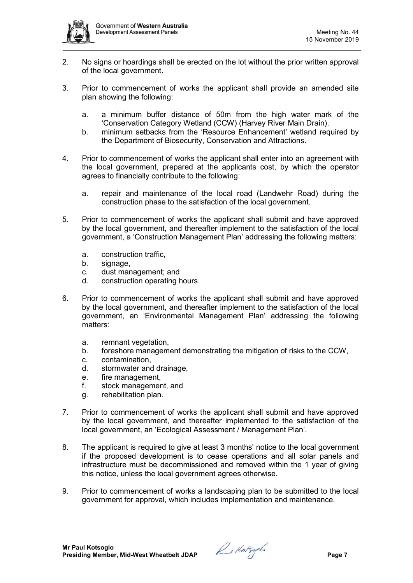

- 2. No signs or hoardings shall be erected on the lot without the prior written approval of the local government.
- 3. Prior to commencement of works the applicant shall provide an amended site plan showing the following:
	- a. a minimum buffer distance of 50m from the high water mark of the 'Conservation Category Wetland (CCW) (Harvey River Main Drain).
	- b. minimum setbacks from the 'Resource Enhancement' wetland required by the Department of Biosecurity, Conservation and Attractions.
- 4. Prior to commencement of works the applicant shall enter into an agreement with the local government, prepared at the applicants cost, by which the operator agrees to financially contribute to the following:
	- a. repair and maintenance of the local road (Landwehr Road) during the construction phase to the satisfaction of the local government.
- 5. Prior to commencement of works the applicant shall submit and have approved by the local government, and thereafter implement to the satisfaction of the local government, a 'Construction Management Plan' addressing the following matters:
	- a. construction traffic,
	- b. signage,
	- c. dust management; and
	- d. construction operating hours.
- 6. Prior to commencement of works the applicant shall submit and have approved by the local government, and thereafter implement to the satisfaction of the local government, an 'Environmental Management Plan' addressing the following matters:
	- a. remnant vegetation,
	- b. foreshore management demonstrating the mitigation of risks to the CCW,
	- c. contamination,
	- d. stormwater and drainage,
	- e. fire management,
	- f. stock management, and
	- g. rehabilitation plan.
- 7. Prior to commencement of works the applicant shall submit and have approved by the local government, and thereafter implemented to the satisfaction of the local government, an 'Ecological Assessment / Management Plan'.
- 8. The applicant is required to give at least 3 months' notice to the local government if the proposed development is to cease operations and all solar panels and infrastructure must be decommissioned and removed within the 1 year of giving this notice, unless the local government agrees otherwise.
- 9. Prior to commencement of works a landscaping plan to be submitted to the local government for approval, which includes implementation and maintenance.